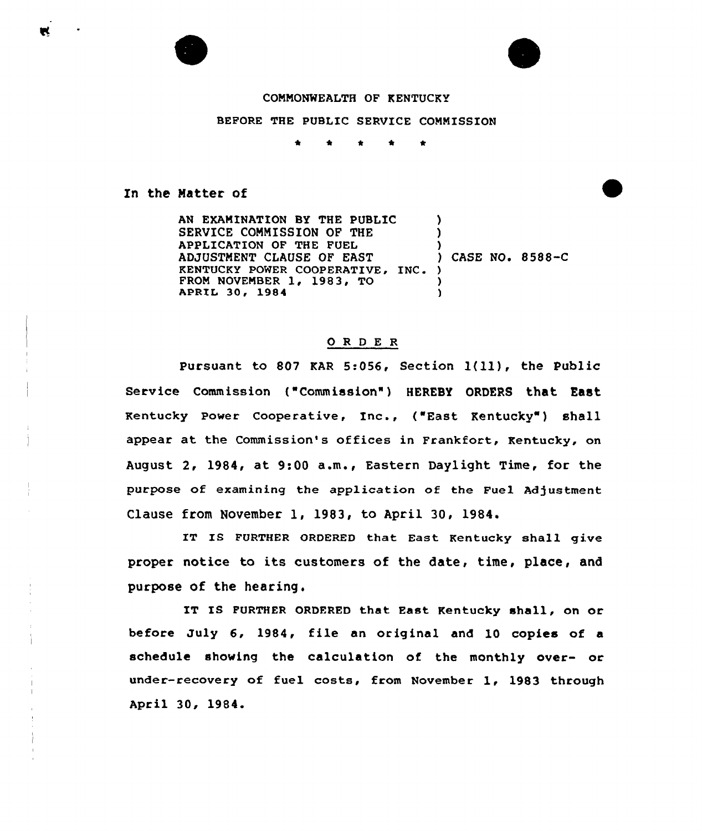## COMMONWEALTH OF KENTUCKY

## BEFORE THE PUBLIC SERVICE COMMISSION

\* \* \*  $\Delta$  $\bullet$ 

## In the Matter of

AN EXAMINATION BY THE PUBLIC SERVICE COMMISSION OF THE APPLICATION OF THE FUEL ADJUSTMENT CLAUSE OF EAST KENTUCKY POWER COOPERATIVE, INC. ) FROM NOVEMBER 1, 1983, TO APRIL 30, 1984 ) ) ) ) CASE NO. 8588-C )  $\lambda$ 

## 0 <sup>R</sup> <sup>D</sup> E <sup>R</sup>

Pursuant to <sup>807</sup> KAR 5:056, Section 1(ll), the Public Service Commission ("Commission" ) HEREBY ORDERS that East Kentucky Power Cooperative, Inc., ("East Kentucky" ) shall appear at the Commission's offices in Frankfort, Kentucky, on August 2, 1984, at 9:00 a.m., Eastern Daylight Time, for the purpose of examining the application of the Fuel Adjustment Clause from November 1, 1983, to April 30, 1984.

IT IS FURTHER ORDERED that East Kentucky shall give proper notice to its customers of the date, time, place, and purpose of the hearing.

IT IS FURTHER ORDFRED that East Kentucky shall, on or before July 6, 1984, file an original and 10 copies of a schedule showing the calculation of the monthly over- or under-recovery of fuel costs, from November 1, 1983 through April 30, 1984.